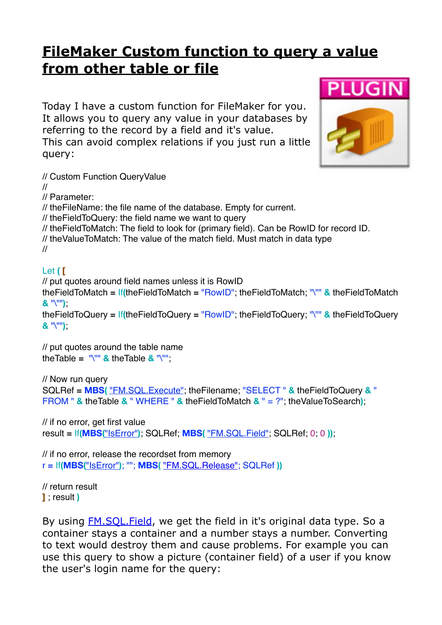## **[FileMaker Custom function to query a value](https://www.mbsplugins.de/archive/2017-02-10/FileMaker_Custom_function_to_q)  [from other table or file](https://www.mbsplugins.de/archive/2017-02-10/FileMaker_Custom_function_to_q)**

Today I have a custom function for FileMaker for you. It allows you to query any value in your databases by referring to the record by a field and it's value. This can avoid complex relations if you just run a little query: // Custom Function QueryValue // // Parameter: // theFileName: the file name of the database. Empty for current. // theFieldToQuery: the field name we want to query // theFieldToMatch: The field to look for (primary field). Can be RowID for record ID. // theValueToMatch: The value of the match field. Must match in data type // Let **( [** // put quotes around field names unless it is RowID theFieldToMatch **=** If**(**theFieldToMatch **=** "RowID"; theFieldToMatch; "\"" **&** theFieldToMatch **&** "\""**)**;

theFieldToQuery **=** If**(**theFieldToQuery **=** "RowID"; theFieldToQuery; "\"" **&** theFieldToQuery **&** "\""**)**;

// put quotes around the table name theTable **=** "\"" **&** theTable **&** "\"";

```
// Now run query
SQLRef = MBS( "FM.SQL.Execute"; theFilename; "SELECT " & theFieldToQuery & " 
FROM " & theTable & " WHERE " & theFieldToMatch & " = ?"; theValueToSearch);
```
// if no error, get first value result **=** If**(MBS(**["IsError"](http://www.mbsplugins.eu/iserror.shtml)**)**; SQLRef; **MBS(** ["FM.SQL.Field"](http://www.mbsplugins.eu/fmsqlfield.shtml); SQLRef; 0; 0 **))**;

// if no error, release the recordset from memory r **=** If**(MBS(**["IsError"](http://www.mbsplugins.eu/iserror.shtml)**)**; ""; **MBS(** ["FM.SQL.Release"](http://www.mbsplugins.eu/fmsqlrelease.shtml); SQLRef **))**

// return result **]** ; result **)**

By using **FM.SQL. Field**, we get the field in it's original data type. So a container stays a container and a number stays a number. Converting to text would destroy them and cause problems. For example you can use this query to show a picture (container field) of a user if you know the user's login name for the query: